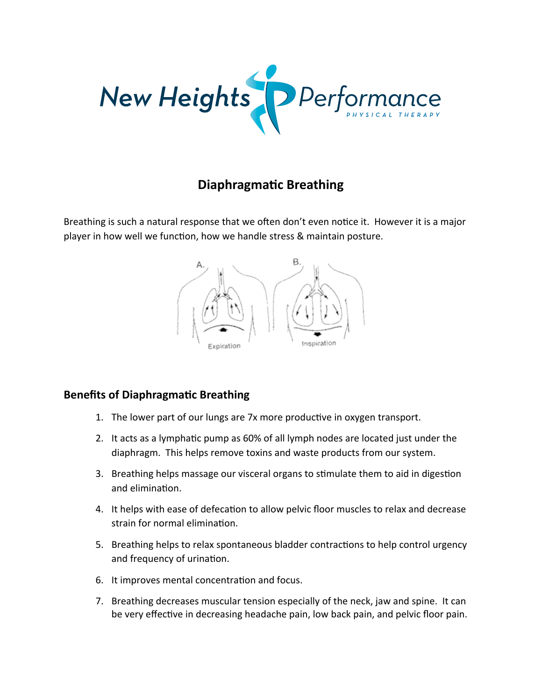

# **Diaphragmatic Breathing**

Breathing is such a natural response that we often don't even notice it. However it is a major player in how well we function, how we handle stress & maintain posture.



### **Benefits of Diaphragmatic Breathing**

- 1. The lower part of our lungs are 7x more productive in oxygen transport.
- 2. It acts as a lymphatic pump as 60% of all lymph nodes are located just under the diaphragm. This helps remove toxins and waste products from our system.
- 3. Breathing helps massage our visceral organs to stimulate them to aid in digestion and elimination.
- 4. It helps with ease of defecation to allow pelvic floor muscles to relax and decrease strain for normal elimination.
- 5. Breathing helps to relax spontaneous bladder contractions to help control urgency and frequency of urination.
- 6. It improves mental concentration and focus.
- 7. Breathing decreases muscular tension especially of the neck, jaw and spine. It can be very effective in decreasing headache pain, low back pain, and pelvic floor pain.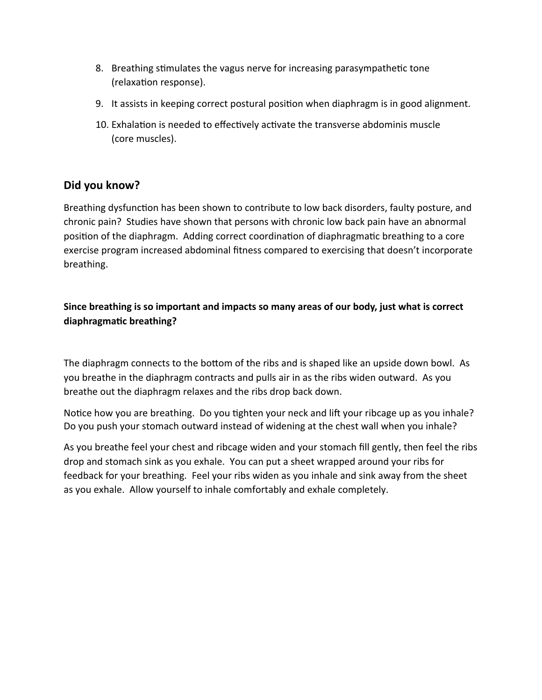- 8. Breathing stimulates the vagus nerve for increasing parasympathetic tone (relaxation response).
- 9. It assists in keeping correct postural position when diaphragm is in good alignment.
- 10. Exhalation is needed to effectively activate the transverse abdominis muscle (core muscles).

# Did you know?

Breathing dysfunction has been shown to contribute to low back disorders, faulty posture, and chronic pain? Studies have shown that persons with chronic low back pain have an abnormal position of the diaphragm. Adding correct coordination of diaphragmatic breathing to a core exercise program increased abdominal fitness compared to exercising that doesn't incorporate breathing.

## Since breathing is so important and impacts so many areas of our body, just what is correct diaphragmatic breathing?

The diaphragm connects to the bottom of the ribs and is shaped like an upside down bowl. As you breathe in the diaphragm contracts and pulls air in as the ribs widen outward. As you breathe out the diaphragm relaxes and the ribs drop back down.

Notice how you are breathing. Do you tighten your neck and lift your ribcage up as you inhale? Do you push your stomach outward instead of widening at the chest wall when you inhale?

As you breathe feel your chest and ribcage widen and your stomach fill gently, then feel the ribs drop and stomach sink as you exhale. You can put a sheet wrapped around your ribs for feedback for your breathing. Feel your ribs widen as you inhale and sink away from the sheet as you exhale. Allow yourself to inhale comfortably and exhale completely.